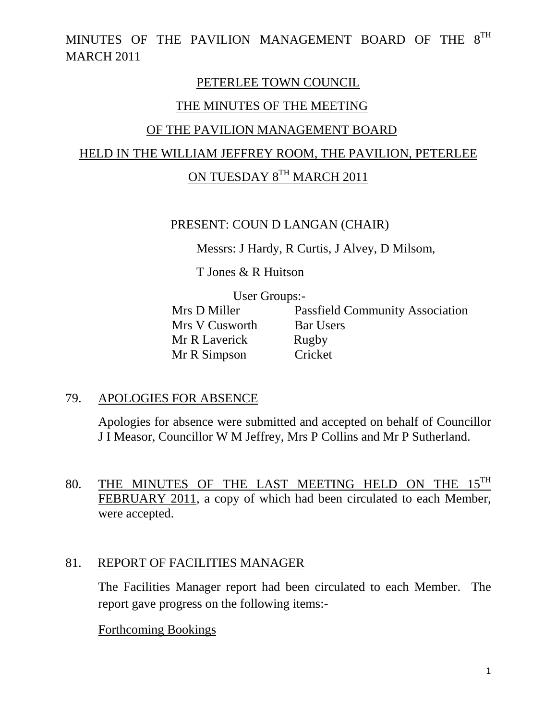### PETERLEE TOWN COUNCIL

### THE MINUTES OF THE MEETING

### OF THE PAVILION MANAGEMENT BOARD

### HELD IN THE WILLIAM JEFFREY ROOM, THE PAVILION, PETERLEE

# ON TUESDAY 8TH MARCH 2011

#### PRESENT: COUN D LANGAN (CHAIR)

Messrs: J Hardy, R Curtis, J Alvey, D Milsom,

T Jones & R Huitson

User Groups:-<br>Mrs D Miller Pa Mrs V Cusworth Bar Users Mr R Laverick Rugby Mr R Simpson Cricket

Passfield Community Association

### 79. APOLOGIES FOR ABSENCE

Apologies for absence were submitted and accepted on behalf of Councillor J I Measor, Councillor W M Jeffrey, Mrs P Collins and Mr P Sutherland.

80. THE MINUTES OF THE LAST MEETING HELD ON THE  $15^{TH}$ FEBRUARY 2011, a copy of which had been circulated to each Member, were accepted.

### 81. REPORT OF FACILITIES MANAGER

The Facilities Manager report had been circulated to each Member. The report gave progress on the following items:-

### Forthcoming Bookings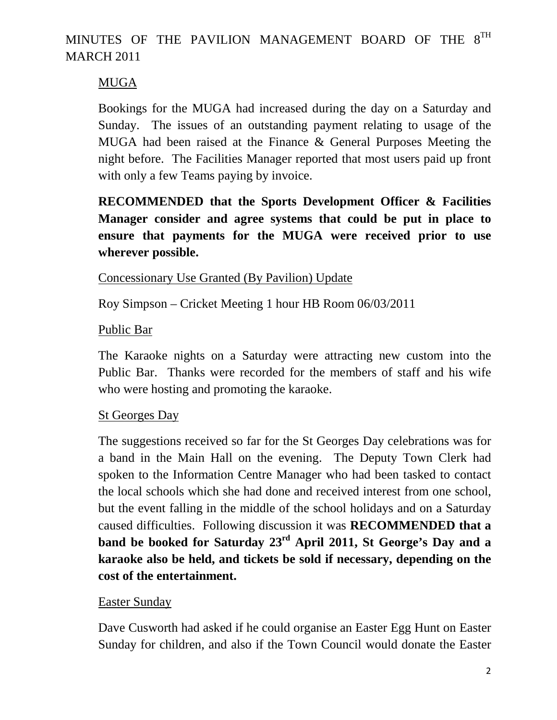# MUGA

Bookings for the MUGA had increased during the day on a Saturday and Sunday. The issues of an outstanding payment relating to usage of the MUGA had been raised at the Finance & General Purposes Meeting the night before. The Facilities Manager reported that most users paid up front with only a few Teams paying by invoice.

**RECOMMENDED that the Sports Development Officer & Facilities Manager consider and agree systems that could be put in place to ensure that payments for the MUGA were received prior to use wherever possible.** 

## Concessionary Use Granted (By Pavilion) Update

Roy Simpson – Cricket Meeting 1 hour HB Room 06/03/2011

## Public Bar

The Karaoke nights on a Saturday were attracting new custom into the Public Bar. Thanks were recorded for the members of staff and his wife who were hosting and promoting the karaoke.

## St Georges Day

The suggestions received so far for the St Georges Day celebrations was for a band in the Main Hall on the evening. The Deputy Town Clerk had spoken to the Information Centre Manager who had been tasked to contact the local schools which she had done and received interest from one school, but the event falling in the middle of the school holidays and on a Saturday caused difficulties. Following discussion it was **RECOMMENDED that a band be booked for Saturday 23rd April 2011, St George's Day and a karaoke also be held, and tickets be sold if necessary, depending on the cost of the entertainment.** 

## Easter Sunday

Dave Cusworth had asked if he could organise an Easter Egg Hunt on Easter Sunday for children, and also if the Town Council would donate the Easter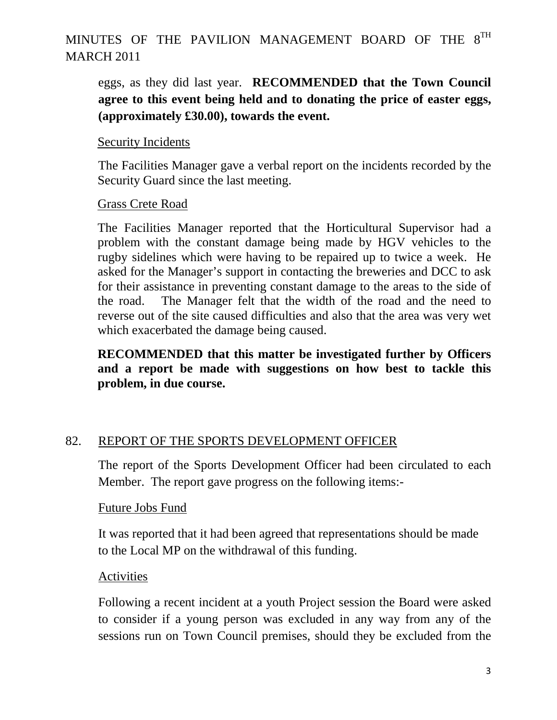eggs, as they did last year. **RECOMMENDED that the Town Council agree to this event being held and to donating the price of easter eggs, (approximately £30.00), towards the event.** 

#### Security Incidents

 The Facilities Manager gave a verbal report on the incidents recorded by the Security Guard since the last meeting.

#### Grass Crete Road

The Facilities Manager reported that the Horticultural Supervisor had a problem with the constant damage being made by HGV vehicles to the rugby sidelines which were having to be repaired up to twice a week. He asked for the Manager's support in contacting the breweries and DCC to ask for their assistance in preventing constant damage to the areas to the side of the road. The Manager felt that the width of the road and the need to reverse out of the site caused difficulties and also that the area was very wet which exacerbated the damage being caused.

**RECOMMENDED that this matter be investigated further by Officers and a report be made with suggestions on how best to tackle this problem, in due course.** 

### 82. REPORT OF THE SPORTS DEVELOPMENT OFFICER

The report of the Sports Development Officer had been circulated to each Member. The report gave progress on the following items:-

#### Future Jobs Fund

It was reported that it had been agreed that representations should be made to the Local MP on the withdrawal of this funding.

### Activities

Following a recent incident at a youth Project session the Board were asked to consider if a young person was excluded in any way from any of the sessions run on Town Council premises, should they be excluded from the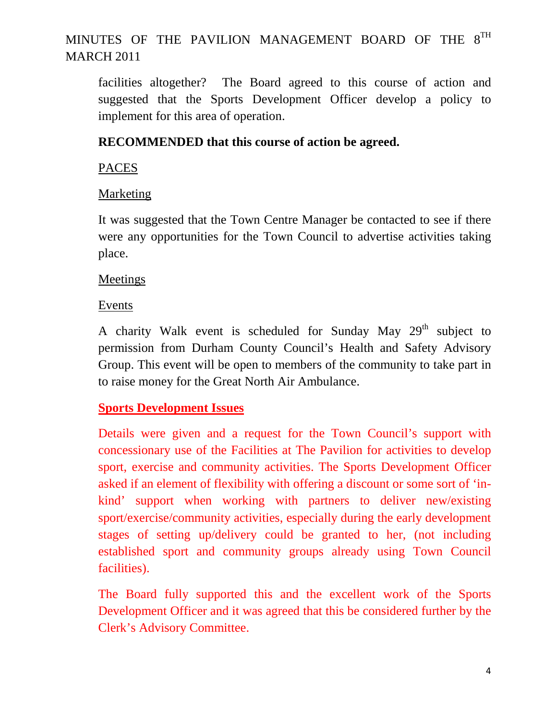facilities altogether? The Board agreed to this course of action and suggested that the Sports Development Officer develop a policy to implement for this area of operation.

## **RECOMMENDED that this course of action be agreed.**

### PACES

## Marketing

It was suggested that the Town Centre Manager be contacted to see if there were any opportunities for the Town Council to advertise activities taking place.

## **Meetings**

## Events

A charity Walk event is scheduled for Sunday May  $29<sup>th</sup>$  subject to permission from Durham County Council's Health and Safety Advisory Group. This event will be open to members of the community to take part in to raise money for the Great North Air Ambulance.

## **Sports Development Issues**

Details were given and a request for the Town Council's support with concessionary use of the Facilities at The Pavilion for activities to develop sport, exercise and community activities. The Sports Development Officer asked if an element of flexibility with offering a discount or some sort of 'inkind' support when working with partners to deliver new/existing sport/exercise/community activities, especially during the early development stages of setting up/delivery could be granted to her, (not including established sport and community groups already using Town Council facilities).

The Board fully supported this and the excellent work of the Sports Development Officer and it was agreed that this be considered further by the Clerk's Advisory Committee.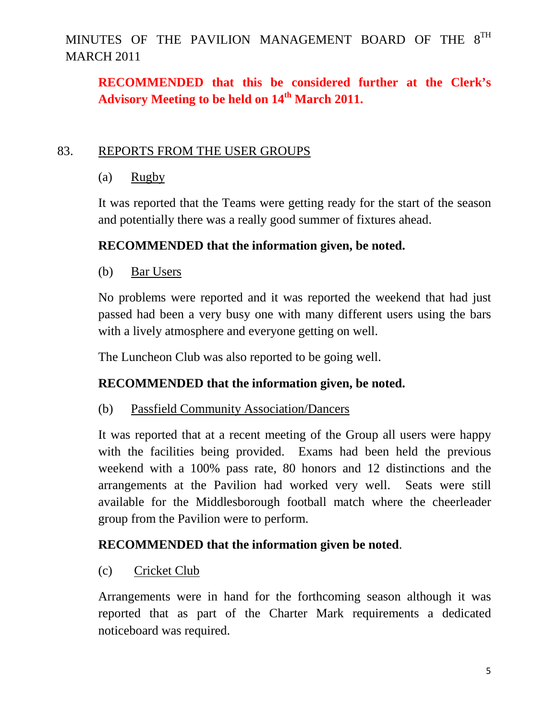# **RECOMMENDED that this be considered further at the Clerk's Advisory Meeting to be held on 14th March 2011.**

### 83. REPORTS FROM THE USER GROUPS

(a) Rugby

It was reported that the Teams were getting ready for the start of the season and potentially there was a really good summer of fixtures ahead.

## **RECOMMENDED that the information given, be noted.**

(b) Bar Users

No problems were reported and it was reported the weekend that had just passed had been a very busy one with many different users using the bars with a lively atmosphere and everyone getting on well.

The Luncheon Club was also reported to be going well.

## **RECOMMENDED that the information given, be noted.**

## (b) Passfield Community Association/Dancers

It was reported that at a recent meeting of the Group all users were happy with the facilities being provided. Exams had been held the previous weekend with a 100% pass rate, 80 honors and 12 distinctions and the arrangements at the Pavilion had worked very well. Seats were still available for the Middlesborough football match where the cheerleader group from the Pavilion were to perform.

## **RECOMMENDED that the information given be noted**.

(c) Cricket Club

Arrangements were in hand for the forthcoming season although it was reported that as part of the Charter Mark requirements a dedicated noticeboard was required.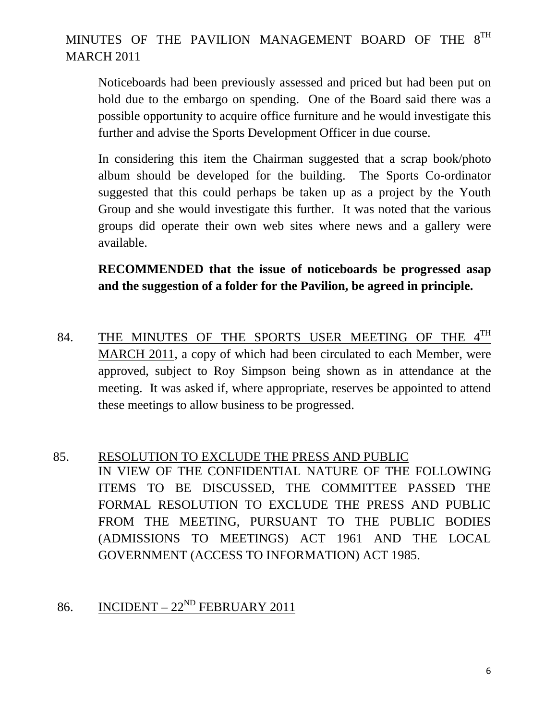Noticeboards had been previously assessed and priced but had been put on hold due to the embargo on spending. One of the Board said there was a possible opportunity to acquire office furniture and he would investigate this further and advise the Sports Development Officer in due course.

In considering this item the Chairman suggested that a scrap book/photo album should be developed for the building. The Sports Co-ordinator suggested that this could perhaps be taken up as a project by the Youth Group and she would investigate this further. It was noted that the various groups did operate their own web sites where news and a gallery were available.

**RECOMMENDED that the issue of noticeboards be progressed asap and the suggestion of a folder for the Pavilion, be agreed in principle.** 

- 84. THE MINUTES OF THE SPORTS USER MEETING OF THE 4TH MARCH 2011, a copy of which had been circulated to each Member, were approved, subject to Roy Simpson being shown as in attendance at the meeting. It was asked if, where appropriate, reserves be appointed to attend these meetings to allow business to be progressed.
- 85. RESOLUTION TO EXCLUDE THE PRESS AND PUBLIC IN VIEW OF THE CONFIDENTIAL NATURE OF THE FOLLOWING ITEMS TO BE DISCUSSED, THE COMMITTEE PASSED THE FORMAL RESOLUTION TO EXCLUDE THE PRESS AND PUBLIC FROM THE MEETING, PURSUANT TO THE PUBLIC BODIES (ADMISSIONS TO MEETINGS) ACT 1961 AND THE LOCAL GOVERNMENT (ACCESS TO INFORMATION) ACT 1985.

## 86. INCIDENT –  $22^{ND}$  FEBRUARY 2011